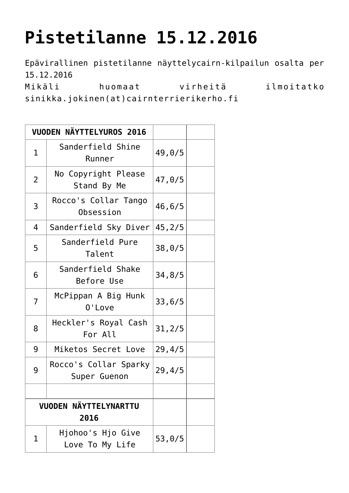## **[Pistetilanne 15.12.2016](https://www.cairnterrierikerho.fi/vuoden-cairn/pistetilanne-15-12-2016/)**

Epävirallinen pistetilanne näyttelycairn-kilpailun osalta per 15.12.2016 Mikäli huomaat virheitä ilmoitatko sinikka.jokinen(at)cairnterrierikerho.fi

|                                      | VUODEN NÄYTTELYUROS 2016              |         |  |
|--------------------------------------|---------------------------------------|---------|--|
| $\mathbf 1$                          | Sanderfield Shine<br>Runner           | 49,0/5  |  |
| 2                                    | No Copyright Please<br>Stand By Me    | 47,0/5  |  |
| 3                                    | Rocco's Collar Tango<br>Obsession     | 46, 6/5 |  |
| 4                                    | Sanderfield Sky Diver                 | 45, 2/5 |  |
| 5                                    | Sanderfield Pure<br>Talent            | 38, 0/5 |  |
| 6                                    | Sanderfield Shake<br>Before Use       | 34,8/5  |  |
| 7                                    | McPippan A Big Hunk<br>0'Love         | 33,6/5  |  |
| 8                                    | Heckler's Royal Cash<br>For All       | 31, 2/5 |  |
| 9                                    | Miketos Secret Love                   | 29,4/5  |  |
| 9                                    | Rocco's Collar Sparky<br>Super Guenon | 29, 4/5 |  |
|                                      |                                       |         |  |
| <b>VUODEN NÄYTTELYNARTTU</b><br>2016 |                                       |         |  |
| 1                                    | Hjohoo's Hjo Give<br>Love To My Life  | 53,0/5  |  |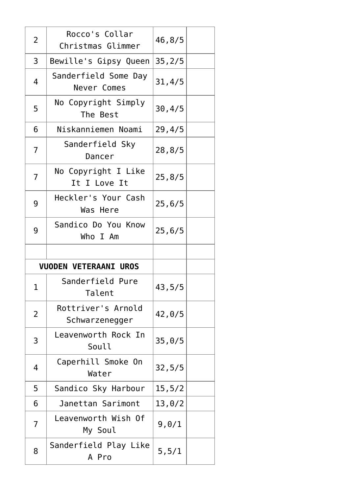| 2                            | Rocco's Collar<br>Christmas Glimmer  | 46,8/5  |
|------------------------------|--------------------------------------|---------|
| 3                            | Bewille's Gipsy Queen                | 35, 2/5 |
| 4                            | Sanderfield Some Day<br>Never Comes  | 31, 4/5 |
| 5                            | No Copyright Simply<br>The Best      | 30, 4/5 |
| 6                            | Niskanniemen Noami                   | 29,4/5  |
| 7                            | Sanderfield Sky<br>Dancer            | 28, 8/5 |
| 7                            | No Copyright I Like<br>It I Love It  | 25,8/5  |
| 9                            | Heckler's Your Cash<br>Was Here      | 25, 6/5 |
| 9                            | Sandico Do You Know<br>Who I Am      | 25, 6/5 |
|                              |                                      |         |
| <b>VUODEN VETERAANI UROS</b> |                                      |         |
|                              |                                      |         |
| 1                            | Sanderfield Pure<br>Talent           | 43,5/5  |
| 2                            | Rottriver's Arnold<br>Schwarzenegger | 42,0/5  |
| 3                            | Leavenworth Rock In<br>Soull         | 35,0/5  |
| 4                            | Caperhill Smoke On<br>Water          | 32, 5/5 |
| 5                            | Sandico Sky Harbour                  | 15,5/2  |
| 6                            | Janettan Sarimont                    | 13,0/2  |
| 7                            | Leavenworth Wish Of<br>My Soul       | 9,0/1   |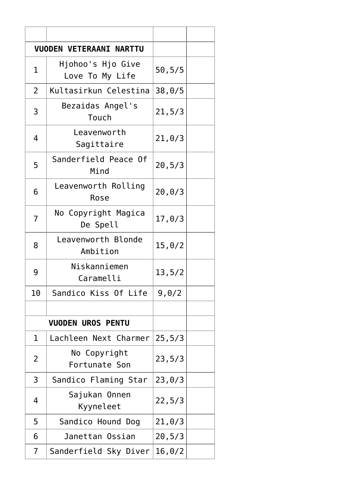| <b>VUODEN VETERAANI NARTTU</b> |                                      |         |  |  |
|--------------------------------|--------------------------------------|---------|--|--|
| $\mathbf 1$                    | Hjohoo's Hjo Give<br>Love To My Life | 50, 5/5 |  |  |
| $\overline{2}$                 | Kultasirkun Celestina                | 38,0/5  |  |  |
| 3                              | Bezaidas Angel's<br>Touch            | 21, 5/3 |  |  |
| 4                              | Leavenworth<br>Sagittaire            | 21, 0/3 |  |  |
| 5                              | Sanderfield Peace Of<br>Mind         | 20, 5/3 |  |  |
| 6                              | Leavenworth Rolling<br>Rose          | 20, 0/3 |  |  |
| 7                              | No Copyright Magica<br>De Spell      | 17,0/3  |  |  |
| 8                              | Leavenworth Blonde<br>Ambition       | 15,0/2  |  |  |
| 9                              | Niskanniemen<br>Caramelli            | 13, 5/2 |  |  |
| 10                             | Sandico Kiss Of Life                 | 9,0/2   |  |  |
|                                |                                      |         |  |  |
| <b>VUODEN UROS PENTU</b>       |                                      |         |  |  |
| 1                              | Lachleen Next Charmer                | 25, 5/3 |  |  |
| 2                              | No Copyright<br>Fortunate Son        | 23, 5/3 |  |  |
| 3                              | Sandico Flaming Star                 | 23,0/3  |  |  |
| 4                              | Sajukan Onnen<br>Kyyneleet           | 22, 5/3 |  |  |
| 5                              | Sandico Hound Dog                    | 21, 0/3 |  |  |
| 6                              | Janettan Ossian                      | 20, 5/3 |  |  |
| 7                              | Sanderfield Sky Diver                | 16, 0/2 |  |  |